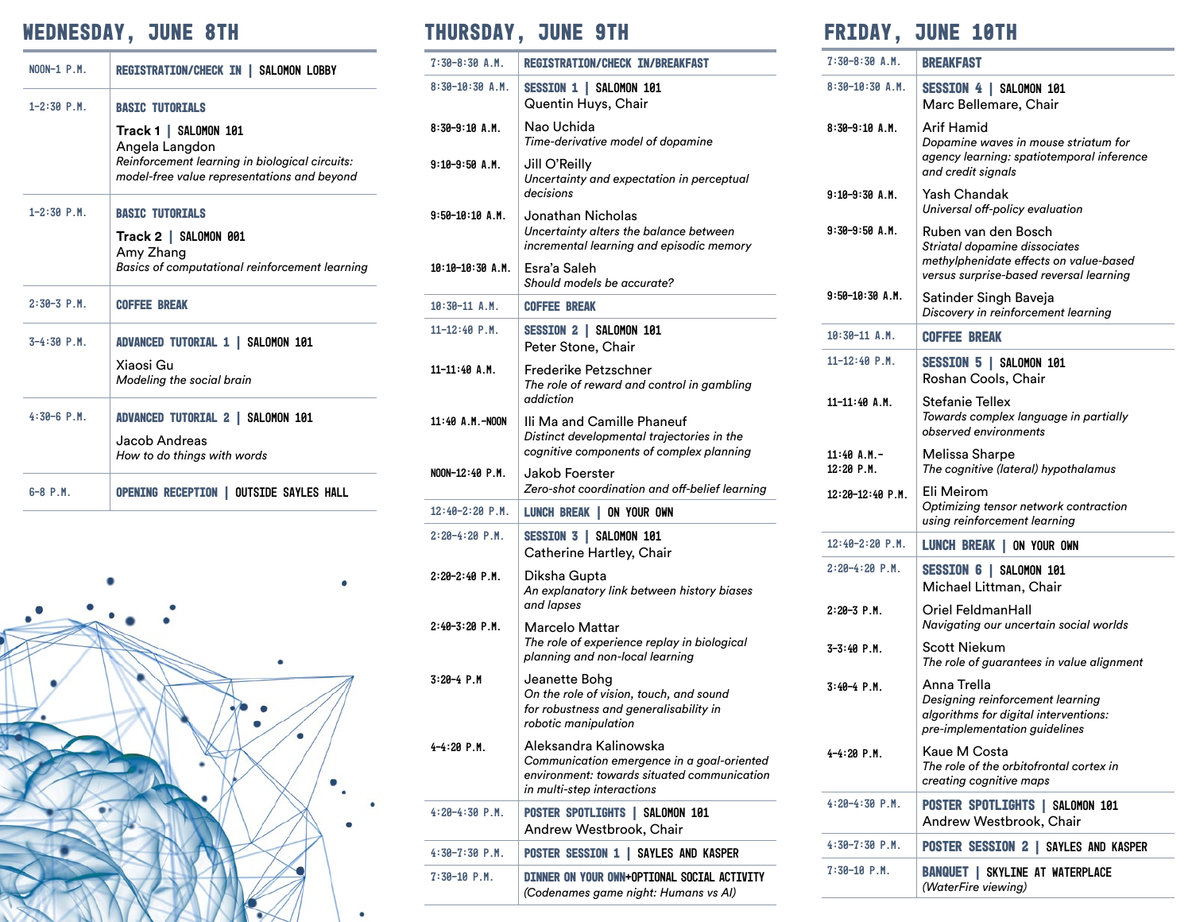# **Wednesday, June 8th Thursday, June 9th Friday, June 10th**

| $NOM-1$ $P.M$ . | REGISTRATION/CHECK IN   SALOMON LOBBY                                                                                                                              |
|-----------------|--------------------------------------------------------------------------------------------------------------------------------------------------------------------|
| $1 - 2:30$ P.M. | <b>BASIC TUTORIALS</b><br>Track 1   SALOMON 101<br>Angela Langdon<br>Reinforcement learning in biological circuits:<br>model-free value representations and beyond |
| $1 - 2:30$ P.M. | <b>BASIC TUTORIALS</b><br>Track 2   SALOMON 001<br>Amy Zhang<br><b>Basics of computational reinforcement learning</b>                                              |
| $2:30-3$ P.M.   | <b>COFFEE BREAK</b>                                                                                                                                                |
| $3-4:30$ P.M.   | ADVANCED TUTORIAL 1   SALOMON 101<br>Xiaosi Gu<br>Modeling the social brain                                                                                        |
| $4:30-6$ P.M.   | ADVANCED TUTORIAL 2   SALOMON 101<br>Jacob Andreas<br>How to do things with words                                                                                  |
| $6 - 8$ P.M.    | OPENING RECEPTION   OUTSIDE SAYLES HALL                                                                                                                            |



| $7:30-8:30 A.M.$  | <b>REGISTRATION/CHECK IN/BREAKFAST</b>                                                                                                           | $7:30-8:30$ A.M.              | <b>BREAKFAST</b>                                                                  |
|-------------------|--------------------------------------------------------------------------------------------------------------------------------------------------|-------------------------------|-----------------------------------------------------------------------------------|
| $8:30-10:30$ A.M. | SESSION 1   SALOMON 101<br>Quentin Huys, Chair                                                                                                   | $8:30-10:30$ A.M.             | SESSION 4   SALON<br>Marc Bellemare,                                              |
| $8:30-9:10 A.M.$  | Nao Uchida<br>Time-derivative model of dopamine                                                                                                  | $8:30-9:10 A.M.$              | Arif Hamid<br>Dopamine waves in                                                   |
| $9:10-9:50A.M.$   | Jill O'Reilly<br>Uncertainty and expectation in perceptual<br>decisions                                                                          | $9:10-9:30$ A.M.              | agency learning: sp<br>and credit signals<br>Yash Chandak                         |
| $9:50-10:10 A.M.$ | Jonathan Nicholas                                                                                                                                |                               | Universal off-policy                                                              |
|                   | Uncertainty alters the balance between<br>incremental learning and episodic memory                                                               | $9:30-9:50$ A.M.              | Ruben van den Bo<br>Striatal dopamine d<br>methylphenidate efi                    |
| 10:10-10:30 A.M.  | Esra'a Saleh<br>Should models be accurate?                                                                                                       |                               | versus surprise-base                                                              |
| $10:30-11$ A.M.   | <b>COFFEE BREAK</b>                                                                                                                              | $9:50-10:30$ A.M.             | Satinder Singh Ba<br>Discovery in reinfor                                         |
| $11 - 12:40$ P.M. | SESSION 2   SALOMON 101<br>Peter Stone, Chair                                                                                                    | $10:30-11$ A.M.               | <b>COFFEE BREAK</b>                                                               |
| $11-11:40$ A.M.   | Frederike Petzschner<br>The role of reward and control in gambling                                                                               | $11 - 12:40$ P.M.             | SESSION 5   SALON<br>Roshan Cools, Ch                                             |
| 11:40 A.M.-NOON   | addiction<br>Ili Ma and Camille Phaneuf<br>Distinct developmental trajectories in the                                                            | $11-11:40$ A.M.               | <b>Stefanie Tellex</b><br>Towards complex la<br>observed environme                |
| NOON-12:40 P.M.   | cognitive components of complex planning<br>Jakob Foerster                                                                                       | $11:40$ A.M.-<br>$12:20$ P.M. | Melissa Sharpe<br>The cognitive (later                                            |
|                   | Zero-shot coordination and off-belief learning                                                                                                   | $12:20-12:40$ P.M.            | Eli Meirom<br>Optimizing tensor n                                                 |
| $12:40-2:20$ P.M. | LUNCH BREAK   ON YOUR OWN                                                                                                                        |                               | using reinforcement                                                               |
| $2:20-4:20$ P.M.  | SESSION 3   SALOMON 101<br>Catherine Hartley, Chair                                                                                              | $12:40-2:20$ P.M.             | LUNCH BREAK   ON                                                                  |
| 2:20-2:40 P.M.    | Diksha Gupta<br>An explanatory link between history biases                                                                                       | $2:20-4:20$ P.M.              | SESSION 6   SALON<br>Michael Littman,                                             |
| $2:40-3:20$ P.M.  | and lapses<br><b>Marcelo Mattar</b>                                                                                                              | $2:20-3$ P.M.                 | Oriel FeldmanHal<br>Navigating our unce                                           |
|                   | The role of experience replay in biological<br>planning and non-local learning                                                                   | $3 - 3:40$ P.M.               | Scott Niekum<br>The role of guarante                                              |
| $3:20-4$ P.M      | Jeanette Bohg<br>On the role of vision, touch, and sound<br>for robustness and generalisability in<br>robotic manipulation                       | $3:40-4$ P.M.                 | Anna Trella<br>Designing reinforce<br>algorithms for digite<br>pre-implementation |
| $4 - 4:20$ P.M.   | Aleksandra Kalinowska<br>Communication emergence in a goal-oriented<br>environment: towards situated communication<br>in multi-step interactions | $4 - 4:20$ P.M.               | Kaue M Costa<br>The role of the orbit<br>creating cognitive n                     |
| $4:20-4:30$ P.M.  | POSTER SPOTLIGHTS   SALOMON 101<br>Andrew Westbrook, Chair                                                                                       | $4:20-4:30$ P.M.              | <b>POSTER SPOTLIGHT</b><br>Andrew Westbro                                         |
| $4:30-7:30$ P.M.  | <b>POSTER SESSION 1   SAYLES AND KASPER</b>                                                                                                      | $4:30-7:30$ P.M.              | <b>POSTER SESSION 2</b>                                                           |
| 7:30-10 P.M.      | DINNER ON YOUR OWN+OPTIONAL SOCIAL ACTIVITY<br>(Codenames game night: Humans vs AI)                                                              | $7:30-10$ P.M.                | <b>BANQUET   SKYLINE</b><br>(WaterFire viewing)                                   |
|                   |                                                                                                                                                  |                               |                                                                                   |

| $7:30-8:30$ A.M.              | <b>BREAKFAST</b>                                                                                                                          |
|-------------------------------|-------------------------------------------------------------------------------------------------------------------------------------------|
| $8:30-10:30A.M.$              | SESSION 4   SALOMON 101<br>Marc Bellemare, Chair                                                                                          |
| $8:30-9:10$ A.M.              | Arif Hamid<br>Dopamine waves in mouse striatum for<br>agency learning: spatiotemporal inference<br>and credit signals                     |
| $9:10-9:30A.M.$               | Yash Chandak<br>Universal off-policy evaluation                                                                                           |
| $9:30-9:50A.M.$               | Ruben van den Bosch<br>Striatal dopamine dissociates<br>methylphenidate effects on value-based<br>versus surprise-based reversal learning |
| 9:50-10:30 A.M.               | Satinder Singh Baveja<br>Discovery in reinforcement learning                                                                              |
| $10:30-11$ A.M.               | <b>COFFEE BREAK</b>                                                                                                                       |
| $11 - 12:40$ P.M.             | SESSION 5   SALOMON 101<br>Roshan Cools, Chair                                                                                            |
| 11-11:40 A.M.                 | Stefanie Tellex<br>Towards complex language in partially<br>observed environments                                                         |
| $11:40$ A.M.-<br>$12:20$ P.M. | Melissa Sharpe<br>The cognitive (lateral) hypothalamus                                                                                    |
| $12:20-12:40$ P.M.            | Eli Meirom<br>Optimizing tensor network contraction<br>using reinforcement learning                                                       |
| $12:40-2:20$ P.M.             | <b>LUNCH BREAK   ON YOUR OWN</b>                                                                                                          |
| $2:20-4:20$ P.M.              | SESSION 6   SALOMON 101<br>Michael Littman, Chair                                                                                         |
| 2:20-3 P.M.                   | Oriel FeldmanHall<br>Navigating our uncertain social worlds                                                                               |
| $3 - 3:40$ P.M.               | Scott Niekum<br>The role of guarantees in value alignment                                                                                 |
| 3:40-4 P.M.                   | Anna Trella<br>Designing reinforcement learning<br>algorithms for digital interventions:<br>pre-implementation guidelines                 |
| $4 - 4:20$ P.M.               | Kaue M Costa<br>The role of the orbitofrontal cortex in<br>creating cognitive maps                                                        |
| $4:20-4:30$ P.M.              | POSTER SPOTLIGHTS   SALOMON 101<br>Andrew Westbrook, Chair                                                                                |
| $4:30-7:30$ P.M.              | POSTER SESSION 2   SAYLES AND KASPER                                                                                                      |
| $7:30-10$ P.M.                | <b>BANQUET   SKYLINE AT WATERPLACE</b><br>(WaterFire viewing)                                                                             |